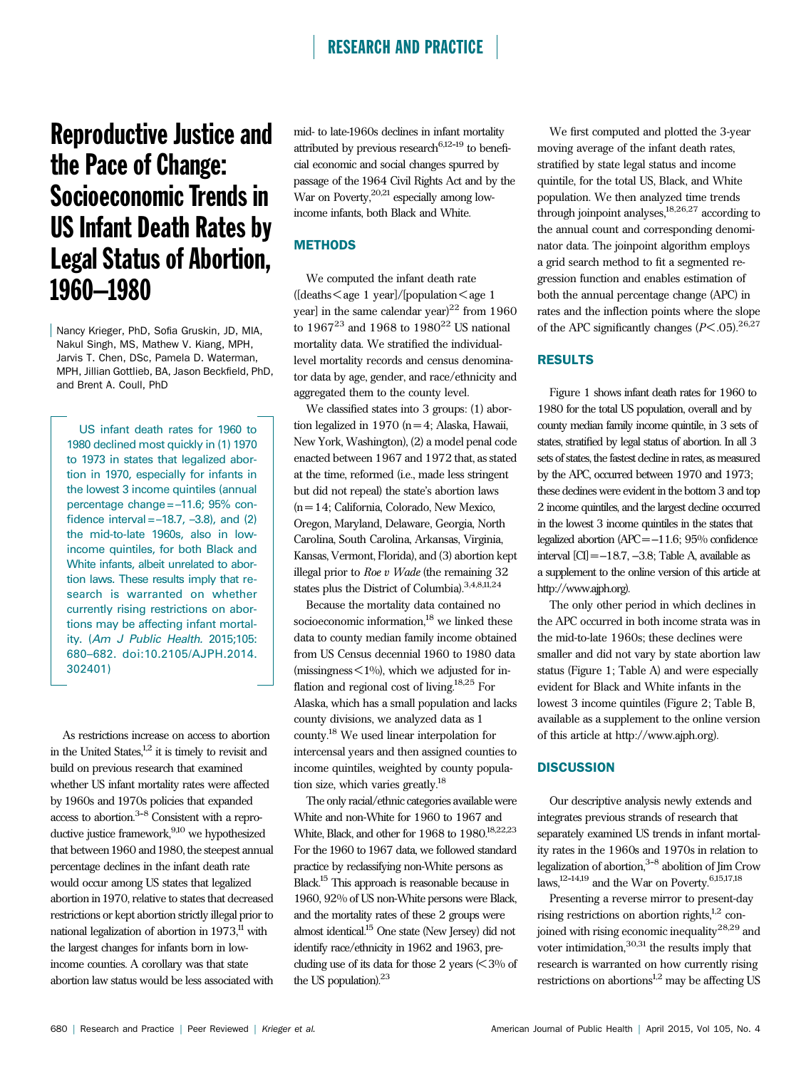## RESEARCH AND PRACTICE

# Reproductive Justice and the Pace of Change: Socioeconomic Trends in US Infant Death Rates by Legal Status of Abortion, 1960–1980

Nancy Krieger, PhD, Sofia Gruskin, JD, MIA, Nakul Singh, MS, Mathew V. Kiang, MPH, Jarvis T. Chen, DSc, Pamela D. Waterman, MPH, Jillian Gottlieb, BA, Jason Beckfield, PhD, and Brent A. Coull, PhD

US infant death rates for 1960 to 1980 declined most quickly in (1) 1970 to 1973 in states that legalized abortion in 1970, especially for infants in the lowest 3 income quintiles (annual percentage change = –11.6; 95% confidence interval  $=-18.7, -3.8$ ), and (2) the mid-to-late 1960s, also in lowincome quintiles, for both Black and White infants, albeit unrelated to abortion laws. These results imply that research is warranted on whether currently rising restrictions on abortions may be affecting infant mortality. (Am J Public Health. 2015;105: 680–682. doi:10.2105/AJPH.2014. 302401)

As restrictions increase on access to abortion in the United States, $1,2$  it is timely to revisit and build on previous research that examined whether US infant mortality rates were affected by 1960s and 1970s policies that expanded access to abortion. $3-8$  Consistent with a reproductive justice framework, $9,10$  we hypothesized that between 1960 and 1980, the steepest annual percentage declines in the infant death rate would occur among US states that legalized abortion in 1970, relative to states that decreased restrictions or kept abortion strictly illegal prior to national legalization of abortion in  $1973$ ,<sup>11</sup> with the largest changes for infants born in lowincome counties. A corollary was that state abortion law status would be less associated with

mid- to late-1960s declines in infant mortality attributed by previous research<sup>6,12-19</sup> to beneficial economic and social changes spurred by passage of the 1964 Civil Rights Act and by the War on Poverty,  $20,21$  especially among lowincome infants, both Black and White.

### **METHODS**

We computed the infant death rate ([deaths < age 1 year]/[population < age 1 year] in the same calendar year)<sup>22</sup> from 1960 to  $1967^{23}$  and  $1968$  to  $1980^{22}$  US national mortality data. We stratified the individuallevel mortality records and census denominator data by age, gender, and race/ethnicity and aggregated them to the county level.

We classified states into 3 groups: (1) abortion legalized in 1970 ( $n = 4$ ; Alaska, Hawaii, New York, Washington), (2) a model penal code enacted between 1967 and 1972 that, as stated at the time, reformed (i.e., made less stringent but did not repeal) the state's abortion laws (n = 14; California, Colorado, New Mexico, Oregon, Maryland, Delaware, Georgia, North Carolina, South Carolina, Arkansas, Virginia, Kansas, Vermont, Florida), and (3) abortion kept illegal prior to Roe v Wade (the remaining 32 states plus the District of Columbia).3,4,8,11,24

Because the mortality data contained no socioeconomic information,<sup>18</sup> we linked these data to county median family income obtained from US Census decennial 1960 to 1980 data  $(missingness < 1\%)$ , which we adjusted for inflation and regional cost of living.<sup>18,25</sup> For Alaska, which has a small population and lacks county divisions, we analyzed data as 1 county.18 We used linear interpolation for intercensal years and then assigned counties to income quintiles, weighted by county population size, which varies greatly.18

The only racial/ethnic categories available were White and non-White for 1960 to 1967 and White, Black, and other for  $1968$  to  $1980$ .<sup>18,22,23</sup> For the 1960 to 1967 data, we followed standard practice by reclassifying non-White persons as Black.15 This approach is reasonable because in 1960, 92% of US non-White persons were Black, and the mortality rates of these 2 groups were almost identical.15 One state (New Jersey) did not identify race/ethnicity in 1962 and 1963, precluding use of its data for those 2 years (< 3% of the US population).<sup>23</sup>

We first computed and plotted the 3-year moving average of the infant death rates, stratified by state legal status and income quintile, for the total US, Black, and White population. We then analyzed time trends through joinpoint analyses, $18,26,27$  according to the annual count and corresponding denominator data. The joinpoint algorithm employs a grid search method to fit a segmented regression function and enables estimation of both the annual percentage change (APC) in rates and the inflection points where the slope of the APC significantly changes  $(P<.05)$ .<sup>26,27</sup>

### RESULTS

Figure 1 shows infant death rates for 1960 to 1980 for the total US population, overall and by county median family income quintile, in 3 sets of states, stratified by legal status of abortion. In all 3 sets of states, the fastest decline in rates, as measured by the APC, occurred between 1970 and 1973; these declines were evident in the bottom 3 and top 2 income quintiles, and the largest decline occurred in the lowest 3 income quintiles in the states that legalized abortion (APC=–11.6; 95% confidence interval  $\text{[CI]} = -18.7, -3.8$ ; Table A, available as a supplement to the online version of this article at <http://www.ajph.org>).

The only other period in which declines in the APC occurred in both income strata was in the mid-to-late 1960s; these declines were smaller and did not vary by state abortion law status (Figure 1; Table A) and were especially evident for Black and White infants in the lowest 3 income quintiles (Figure 2; Table B, available as a supplement to the online version of this article at [http://www.ajph.org\)](http://www.ajph.org).

### **DISCUSSION**

Our descriptive analysis newly extends and integrates previous strands of research that separately examined US trends in infant mortality rates in the 1960s and 1970s in relation to legalization of abortion, $3-8$  abolition of Jim Crow laws,<sup>12-14,19</sup> and the War on Poverty.<sup>6,15,17,18</sup>

Presenting a reverse mirror to present-day rising restrictions on abortion rights, $1,2$  conjoined with rising economic inequality<sup>28,29</sup> and voter intimidation,30,31 the results imply that research is warranted on how currently rising restrictions on abortions<sup>1,2</sup> may be affecting US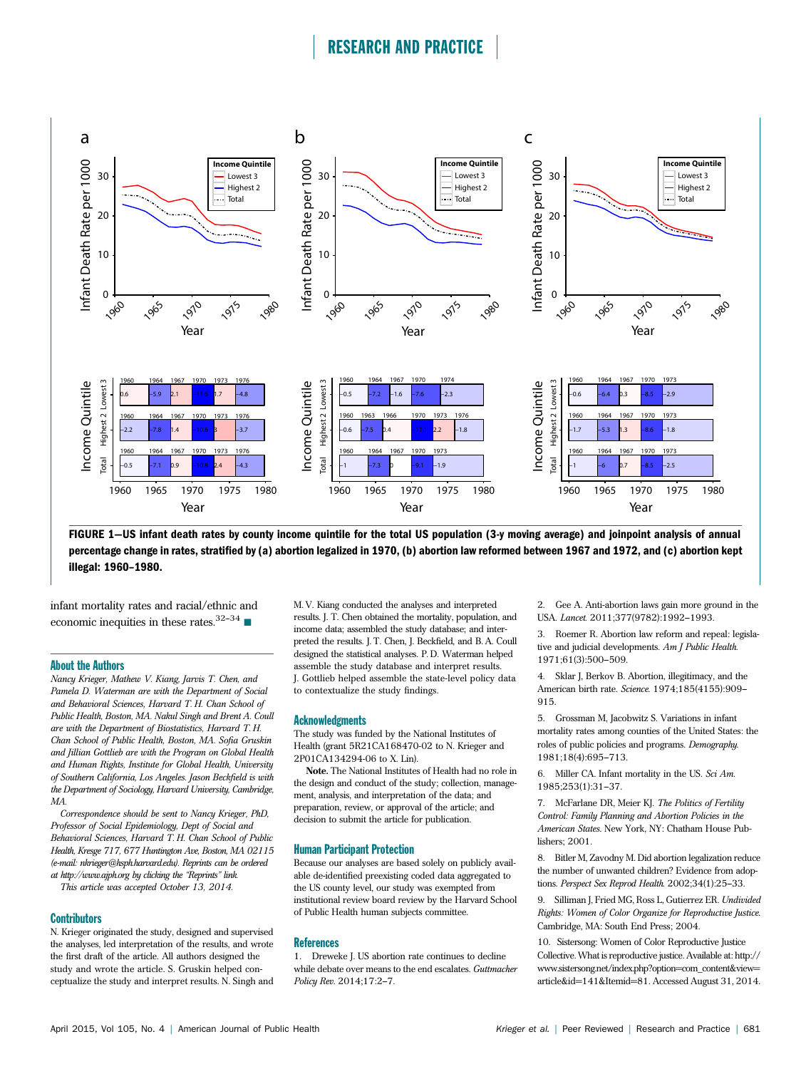# RESEARCH AND PRACTICE



FIGURE 1—US infant death rates by county income quintile for the total US population (3-y moving average) and joinpoint analysis of annual percentage change in rates, stratified by (a) abortion legalized in 1970, (b) abortion law reformed between 1967 and 1972, and (c) abortion kept illegal: 1960–1980.

infant mortality rates and racial/ethnic and economic inequities in these rates.<sup>32-34</sup>

#### About the Authors

Nancy Krieger, Mathew V. Kiang, Jarvis T. Chen, and Pamela D. Waterman are with the Department of Social and Behavioral Sciences, Harvard T. H. Chan School of Public Health, Boston, MA. Nakul Singh and Brent A. Coull are with the Department of Biostatistics, Harvard T. H. Chan School of Public Health, Boston, MA. Sofia Gruskin and Jillian Gottlieb are with the Program on Global Health and Human Rights, Institute for Global Health, University of Southern California, Los Angeles. Jason Beckfield is with the Department of Sociology, Harvard University, Cambridge, MA.

Correspondence should be sent to Nancy Krieger, PhD, Professor of Social Epidemiology, Dept of Social and Behavioral Sciences, Harvard T. H. Chan School of Public Health, Kresge 717, 677 Huntington Ave, Boston, MA 02115 (e-mail: [nkrieger@hsph.harvard.edu](mailto:nkrieger@hsph.harvard.edu)). Reprints can be ordered at http://www.ajph.org by clicking the "Reprints" link.

This article was accepted October 13, 2014.

#### **Contributors**

N. Krieger originated the study, designed and supervised the analyses, led interpretation of the results, and wrote the first draft of the article. All authors designed the study and wrote the article. S. Gruskin helped conceptualize the study and interpret results. N. Singh and

M. V. Kiang conducted the analyses and interpreted results. J. T. Chen obtained the mortality, population, and income data; assembled the study database; and interpreted the results. J. T. Chen, J. Beckfield, and B. A. Coull designed the statistical analyses. P. D. Waterman helped assemble the study database and interpret results. J. Gottlieb helped assemble the state-level policy data to contextualize the study findings.

#### Acknowledgments

The study was funded by the National Institutes of Health (grant 5R21CA168470-02 to N. Krieger and 2P01CA134294-06 to X. Lin).

Note. The National Institutes of Health had no role in the design and conduct of the study; collection, management, analysis, and interpretation of the data; and preparation, review, or approval of the article; and decision to submit the article for publication.

#### Human Participant Protection

Because our analyses are based solely on publicly available de-identified preexisting coded data aggregated to the US county level, our study was exempted from institutional review board review by the Harvard School of Public Health human subjects committee.

#### References

1. Dreweke J. US abortion rate continues to decline while debate over means to the end escalates. Guttmacher Policy Rev. 2014;17:2-7.

2. Gee A. Anti-abortion laws gain more ground in the USA. Lancet. 2011;377(9782):1992-1993.

Roemer R. Abortion law reform and repeal: legislative and judicial developments. Am J Public Health. 1971;61(3):500-509.

Sklar J, Berkov B. Abortion, illegitimacy, and the American birth rate. Science. 1974;185(4155):909-915.

5. Grossman M, Jacobwitz S. Variations in infant mortality rates among counties of the United States: the roles of public policies and programs. Demography. 1981:18(4):695-713.

6. Miller CA. Infant mortality in the US. Sci Am. 1985;253(1):31-37.

7. McFarlane DR, Meier KJ. The Politics of Fertility Control: Family Planning and Abortion Policies in the American States. New York, NY: Chatham House Publishers; 2001.

8. Bitler M, Zavodny M. Did abortion legalization reduce the number of unwanted children? Evidence from adoptions. Perspect Sex Reprod Health. 2002;34(1):25-33.

9. Silliman J, Fried MG, Ross L, Gutierrez ER. Undivided Rights: Women of Color Organize for Reproductive Justice. Cambridge, MA: South End Press; 2004.

10. Sistersong: Women of Color Reproductive Justice Collective. What is reproductive justice. Available at: [http://](http://www.sistersong.net/index.php?option=com_content%26view=article%26id=141%26Itemid=81) [www.sistersong.net/index.php?option=com\\_content&view=](http://www.sistersong.net/index.php?option=com_content%26view=article%26id=141%26Itemid=81) [article&id=141&Itemid=81](http://www.sistersong.net/index.php?option=com_content%26view=article%26id=141%26Itemid=81). Accessed August 31, 2014.